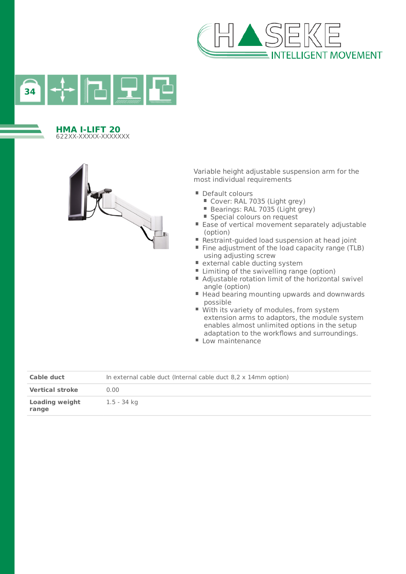



#### **HMA I-LIFT 20** 622XX-XXXXX-XXXXXXX



Variable height adjustable suspension arm for the most individual requirements

- Default colours
	- Cover: RAL 7035 (Light grey)
	- Bearings: RAL 7035 (Light grey)
	- Special colours on request
- $\blacksquare$  Ease of vertical movement separately adjustable (option)
- Restraint-guided load suspension at head joint
- Fine adjustment of the load capacity range (TLB) using adjusting screw
- external cable ducting system
- $\blacksquare$  Limiting of the swivelling range (option)
- Adjustable rotation limit of the horizontal swivel angle (option)
- Head bearing mounting upwards and downwards possible
- With its variety of modules, from system extension arms to adaptors, the module system enables almost unlimited options in the setup adaptation to the workflows and surroundings.
- Low maintenance

| Cable duct                     | In external cable duct (Internal cable duct 8.2 x 14mm option) |
|--------------------------------|----------------------------------------------------------------|
| <b>Vertical stroke</b>         | 0.00                                                           |
| <b>Loading weight</b><br>range | 1.5 - 34 kg                                                    |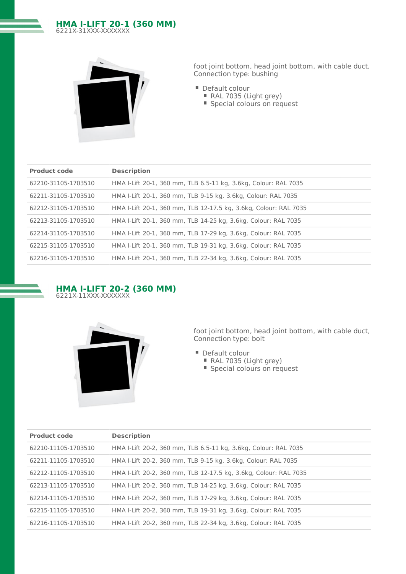# **HMA I-LIFT 20-1 (360 MM)** 6221X-31XXX-XXXXXXX



foot joint bottom, head joint bottom, with cable duct, Connection type: bushing

- Default colour
	- RAL 7035 (Light grey)
	- Special colours on request

| <b>Product code</b> | <b>Description</b>                                               |
|---------------------|------------------------------------------------------------------|
| 62210-31105-1703510 | HMA I-Lift 20-1, 360 mm, TLB 6.5-11 kg, 3.6kg, Colour: RAL 7035  |
| 62211-31105-1703510 | HMA I-Lift 20-1, 360 mm, TLB 9-15 kg, 3.6kg, Colour: RAL 7035    |
| 62212-31105-1703510 | HMA I-Lift 20-1, 360 mm, TLB 12-17.5 kg, 3.6kg, Colour: RAL 7035 |
| 62213-31105-1703510 | HMA I-Lift 20-1, 360 mm, TLB 14-25 kg, 3.6kg, Colour: RAL 7035   |
| 62214-31105-1703510 | HMA I-Lift 20-1, 360 mm, TLB 17-29 kg, 3.6kg, Colour: RAL 7035   |
| 62215-31105-1703510 | HMA I-Lift 20-1, 360 mm, TLB 19-31 kg, 3.6kg, Colour: RAL 7035   |
| 62216-31105-1703510 | HMA I-Lift 20-1, 360 mm, TLB 22-34 kg, 3.6kg, Colour: RAL 7035   |





- Default colour
	- RAL 7035 (Light grey)
	- Special colours on request

| <b>Product code</b> | <b>Description</b>                                               |
|---------------------|------------------------------------------------------------------|
| 62210-11105-1703510 | HMA I-Lift 20-2, 360 mm, TLB 6.5-11 kg, 3.6kg, Colour: RAL 7035  |
| 62211-11105-1703510 | HMA I-Lift 20-2, 360 mm, TLB 9-15 kg, 3.6kg, Colour: RAL 7035    |
| 62212-11105-1703510 | HMA I-Lift 20-2, 360 mm, TLB 12-17.5 kg, 3.6kg, Colour: RAL 7035 |
| 62213-11105-1703510 | HMA I-Lift 20-2, 360 mm, TLB 14-25 kg, 3.6kg, Colour: RAL 7035   |
| 62214-11105-1703510 | HMA I-Lift 20-2, 360 mm, TLB 17-29 kg, 3.6kg, Colour: RAL 7035   |
| 62215-11105-1703510 | HMA I-Lift 20-2, 360 mm, TLB 19-31 kg, 3.6kg, Colour: RAL 7035   |
| 62216-11105-1703510 | HMA I-Lift 20-2, 360 mm, TLB 22-34 kg, 3.6kg, Colour: RAL 7035   |
|                     |                                                                  |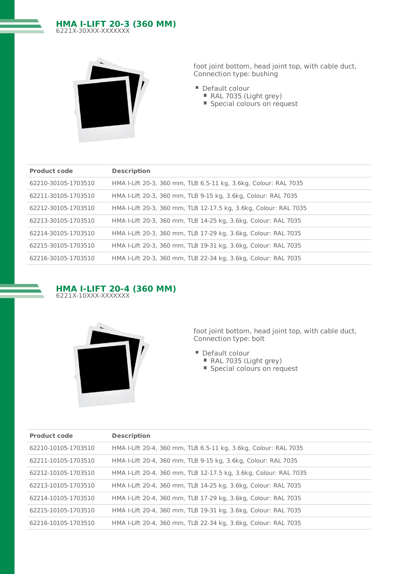# **HMA I-LIFT 20-3 (360 MM)** 6221X-30XXX-XXXXXXX



foot joint bottom, head joint top, with cable duct, Connection type: bushing

- Default colour
	- RAL 7035 (Light grey)
	- Special colours on request

| <b>Product code</b> | <b>Description</b>                                               |
|---------------------|------------------------------------------------------------------|
| 62210-30105-1703510 | HMA I-Lift 20-3, 360 mm, TLB 6.5-11 kg, 3.6kg, Colour: RAL 7035  |
| 62211-30105-1703510 | HMA I-Lift 20-3, 360 mm, TLB 9-15 kg, 3.6kg, Colour: RAL 7035    |
| 62212-30105-1703510 | HMA I-Lift 20-3, 360 mm, TLB 12-17.5 kg, 3.6kg, Colour: RAL 7035 |
| 62213-30105-1703510 | HMA I-Lift 20-3, 360 mm, TLB 14-25 kg, 3.6kg, Colour: RAL 7035   |
| 62214-30105-1703510 | HMA I-Lift 20-3, 360 mm, TLB 17-29 kg, 3.6kg, Colour: RAL 7035   |
| 62215-30105-1703510 | HMA I-Lift 20-3, 360 mm, TLB 19-31 kg, 3.6kg, Colour: RAL 7035   |
| 62216-30105-1703510 | HMA I-Lift 20-3, 360 mm, TLB 22-34 kg, 3.6kg, Colour: RAL 7035   |





- Default colour
	- RAL 7035 (Light grey)
	- Special colours on request

| <b>Product code</b> | <b>Description</b>                                               |
|---------------------|------------------------------------------------------------------|
| 62210-10105-1703510 | HMA I-Lift 20-4, 360 mm, TLB 6.5-11 kg, 3.6kg, Colour: RAL 7035  |
| 62211-10105-1703510 | HMA I-Lift 20-4, 360 mm, TLB 9-15 kg, 3.6kg, Colour: RAL 7035    |
| 62212-10105-1703510 | HMA I-Lift 20-4, 360 mm, TLB 12-17.5 kg, 3.6kg, Colour: RAL 7035 |
| 62213-10105-1703510 | HMA I-Lift 20-4, 360 mm, TLB 14-25 kg, 3.6kg, Colour: RAL 7035   |
| 62214-10105-1703510 | HMA I-Lift 20-4, 360 mm, TLB 17-29 kg, 3.6kg, Colour: RAL 7035   |
| 62215-10105-1703510 | HMA I-Lift 20-4, 360 mm, TLB 19-31 kg, 3.6kg, Colour: RAL 7035   |
| 62216-10105-1703510 | HMA I-Lift 20-4, 360 mm, TLB 22-34 kg, 3.6kg, Colour: RAL 7035   |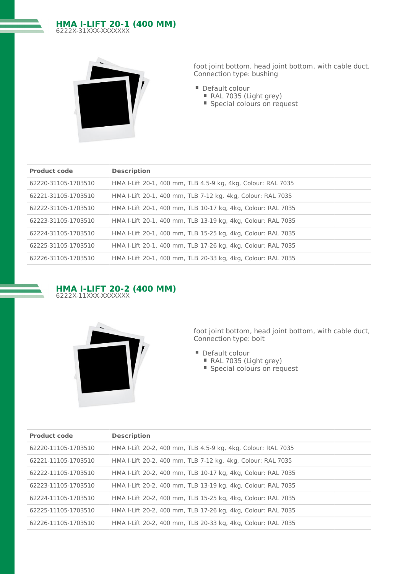# **HMA I-LIFT 20-1 (400 MM)** 6222X-31XXX-XXXXXXX



foot joint bottom, head joint bottom, with cable duct, Connection type: bushing

- Default colour
	- RAL 7035 (Light grey)
	- Special colours on request

| <b>Product code</b> | <b>Description</b>                                           |
|---------------------|--------------------------------------------------------------|
| 62220-31105-1703510 | HMA I-Lift 20-1, 400 mm, TLB 4.5-9 kg, 4kg, Colour: RAL 7035 |
| 62221-31105-1703510 | HMA I-Lift 20-1, 400 mm, TLB 7-12 kg, 4kg, Colour: RAL 7035  |
| 62222-31105-1703510 | HMA I-Lift 20-1, 400 mm, TLB 10-17 kg, 4kg, Colour: RAL 7035 |
| 62223-31105-1703510 | HMA I-Lift 20-1, 400 mm, TLB 13-19 kg, 4kg, Colour: RAL 7035 |
| 62224-31105-1703510 | HMA I-Lift 20-1, 400 mm, TLB 15-25 kg, 4kg, Colour: RAL 7035 |
| 62225-31105-1703510 | HMA I-Lift 20-1, 400 mm, TLB 17-26 kg, 4kg, Colour: RAL 7035 |
| 62226-31105-1703510 | HMA I-Lift 20-1, 400 mm, TLB 20-33 kg, 4kg, Colour: RAL 7035 |
|                     |                                                              |





- Default colour
	- RAL 7035 (Light grey)
	- Special colours on request

| <b>Product code</b> | <b>Description</b>                                           |
|---------------------|--------------------------------------------------------------|
| 62220-11105-1703510 | HMA I-Lift 20-2, 400 mm, TLB 4.5-9 kg, 4kg, Colour: RAL 7035 |
| 62221-11105-1703510 | HMA I-Lift 20-2, 400 mm, TLB 7-12 kg, 4kg, Colour: RAL 7035  |
| 62222-11105-1703510 | HMA I-Lift 20-2, 400 mm, TLB 10-17 kg, 4kg, Colour: RAL 7035 |
| 62223-11105-1703510 | HMA I-Lift 20-2, 400 mm, TLB 13-19 kg, 4kg, Colour: RAL 7035 |
| 62224-11105-1703510 | HMA I-Lift 20-2, 400 mm, TLB 15-25 kg, 4kg, Colour: RAL 7035 |
| 62225-11105-1703510 | HMA I-Lift 20-2, 400 mm, TLB 17-26 kg, 4kg, Colour: RAL 7035 |
| 62226-11105-1703510 | HMA I-Lift 20-2, 400 mm, TLB 20-33 kg, 4kg, Colour: RAL 7035 |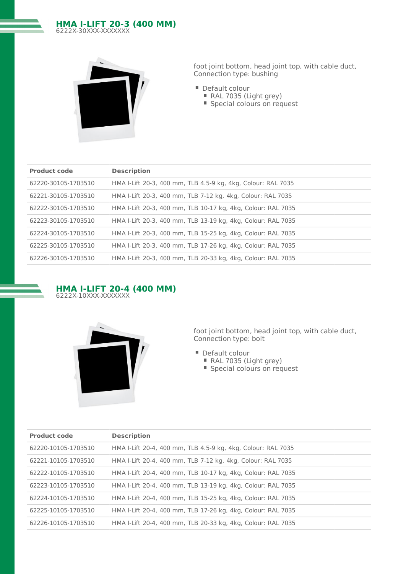# **HMA I-LIFT 20-3 (400 MM)** 6222X-30XXX-XXXXXXX



foot joint bottom, head joint top, with cable duct, Connection type: bushing

- Default colour
	- RAL 7035 (Light grey)
	- Special colours on request

| <b>Product code</b> | <b>Description</b>                                           |
|---------------------|--------------------------------------------------------------|
| 62220-30105-1703510 | HMA I-Lift 20-3, 400 mm, TLB 4.5-9 kg, 4kg, Colour: RAL 7035 |
| 62221-30105-1703510 | HMA I-Lift 20-3, 400 mm, TLB 7-12 kg, 4kg, Colour: RAL 7035  |
| 62222-30105-1703510 | HMA I-Lift 20-3, 400 mm, TLB 10-17 kg, 4kg, Colour: RAL 7035 |
| 62223-30105-1703510 | HMA I-Lift 20-3, 400 mm, TLB 13-19 kg, 4kg, Colour: RAL 7035 |
| 62224-30105-1703510 | HMA I-Lift 20-3, 400 mm, TLB 15-25 kg, 4kg, Colour: RAL 7035 |
| 62225-30105-1703510 | HMA I-Lift 20-3, 400 mm, TLB 17-26 kg, 4kg, Colour: RAL 7035 |
| 62226-30105-1703510 | HMA I-Lift 20-3, 400 mm, TLB 20-33 kg, 4kg, Colour: RAL 7035 |





- Default colour
	- RAL 7035 (Light grey)
	- Special colours on request

| <b>Description</b>                                           |
|--------------------------------------------------------------|
| HMA I-Lift 20-4, 400 mm, TLB 4.5-9 kg, 4kg, Colour: RAL 7035 |
| HMA I-Lift 20-4, 400 mm, TLB 7-12 kg, 4kg, Colour: RAL 7035  |
| HMA I-Lift 20-4, 400 mm, TLB 10-17 kg, 4kg, Colour: RAL 7035 |
| HMA I-Lift 20-4, 400 mm, TLB 13-19 kg, 4kg, Colour: RAL 7035 |
| HMA I-Lift 20-4, 400 mm, TLB 15-25 kg, 4kg, Colour: RAL 7035 |
| HMA I-Lift 20-4, 400 mm, TLB 17-26 kg, 4kg, Colour: RAL 7035 |
| HMA I-Lift 20-4, 400 mm, TLB 20-33 kg, 4kg, Colour: RAL 7035 |
|                                                              |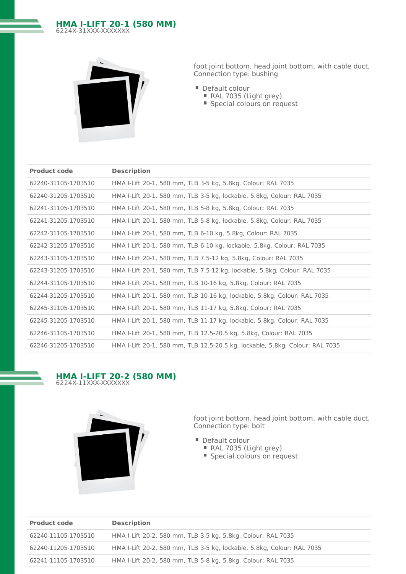# **HMA I-LIFT 20-1 (580 MM)** 6224X-31XXX-XXXXXXX



foot joint bottom, head joint bottom, with cable duct, Connection type: bushing

- Default colour
	- RAL 7035 (Light grey)
	- Special colours on request

| <b>Product code</b> | <b>Description</b>                                                           |
|---------------------|------------------------------------------------------------------------------|
| 62240-31105-1703510 | HMA I-Lift 20-1, 580 mm, TLB 3-5 kg, 5.8kg, Colour: RAL 7035                 |
| 62240-31205-1703510 | HMA I-Lift 20-1, 580 mm, TLB 3-5 kg, lockable, 5.8kg, Colour: RAL 7035       |
| 62241-31105-1703510 | HMA I-Lift 20-1, 580 mm, TLB 5-8 kg, 5.8kg, Colour: RAL 7035                 |
| 62241-31205-1703510 | HMA I-Lift 20-1, 580 mm, TLB 5-8 kg, lockable, 5.8kg, Colour: RAL 7035       |
| 62242-31105-1703510 | HMA I-Lift 20-1, 580 mm, TLB 6-10 kg, 5.8kg, Colour: RAL 7035                |
| 62242-31205-1703510 | HMA I-Lift 20-1, 580 mm, TLB 6-10 kg, lockable, 5.8kg, Colour: RAL 7035      |
| 62243-31105-1703510 | HMA I-Lift 20-1, 580 mm, TLB 7.5-12 kg, 5.8kg, Colour: RAL 7035              |
| 62243-31205-1703510 | HMA I-Lift 20-1, 580 mm, TLB 7.5-12 kg, lockable, 5.8kg, Colour: RAL 7035    |
| 62244-31105-1703510 | HMA I-Lift 20-1, 580 mm, TLB 10-16 kg, 5.8kg, Colour: RAL 7035               |
| 62244-31205-1703510 | HMA I-Lift 20-1, 580 mm, TLB 10-16 kg, lockable, 5.8kg, Colour: RAL 7035     |
| 62245-31105-1703510 | HMA I-Lift 20-1, 580 mm, TLB 11-17 kg, 5.8kg, Colour: RAL 7035               |
| 62245-31205-1703510 | HMA I-Lift 20-1, 580 mm, TLB 11-17 kg, lockable, 5.8kg, Colour: RAL 7035     |
| 62246-31105-1703510 | HMA I-Lift 20-1, 580 mm, TLB 12.5-20.5 kg, 5.8kg, Colour: RAL 7035           |
| 62246-31205-1703510 | HMA I-Lift 20-1, 580 mm, TLB 12.5-20.5 kg, lockable, 5.8kg, Colour: RAL 7035 |

# **HMA I-LIFT 20-2 (580 MM)** 6224X-11XXX-XXXXXXX



- Default colour
	- RAL 7035 (Light grey)
	- Special colours on request

| <b>Product code</b> | <b>Description</b>                                                     |
|---------------------|------------------------------------------------------------------------|
| 62240-11105-1703510 | HMA I-Lift 20-2, 580 mm, TLB 3-5 kg, 5.8kg, Colour: RAL 7035           |
| 62240-11205-1703510 | HMA I-Lift 20-2, 580 mm, TLB 3-5 kg, lockable, 5.8kg, Colour: RAL 7035 |
| 62241-11105-1703510 | HMA I-Lift 20-2, 580 mm, TLB 5-8 kg, 5.8kg, Colour: RAL 7035           |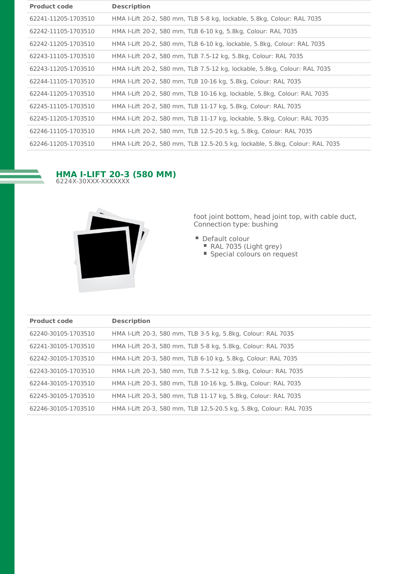| <b>Product code</b> | <b>Description</b>                                                           |
|---------------------|------------------------------------------------------------------------------|
| 62241-11205-1703510 | HMA I-Lift 20-2, 580 mm, TLB 5-8 kg, lockable, 5.8kg, Colour: RAL 7035       |
| 62242-11105-1703510 | HMA I-Lift 20-2, 580 mm, TLB 6-10 kg, 5.8kg, Colour: RAL 7035                |
| 62242-11205-1703510 | HMA I-Lift 20-2, 580 mm, TLB 6-10 kg, lockable, 5.8kg, Colour: RAL 7035      |
| 62243-11105-1703510 | HMA I-Lift 20-2, 580 mm, TLB 7.5-12 kg, 5.8kg, Colour: RAL 7035              |
| 62243-11205-1703510 | HMA I-Lift 20-2, 580 mm, TLB 7.5-12 kg, lockable, 5.8kg, Colour: RAL 7035    |
| 62244-11105-1703510 | HMA I-Lift 20-2, 580 mm, TLB 10-16 kg, 5.8kg, Colour: RAL 7035               |
| 62244-11205-1703510 | HMA I-Lift 20-2, 580 mm, TLB 10-16 kg, lockable, 5.8kg, Colour: RAL 7035     |
| 62245-11105-1703510 | HMA I-Lift 20-2, 580 mm, TLB 11-17 kg, 5.8kg, Colour: RAL 7035               |
| 62245-11205-1703510 | HMA I-Lift 20-2, 580 mm, TLB 11-17 kg, lockable, 5.8kg, Colour: RAL 7035     |
| 62246-11105-1703510 | HMA I-Lift 20-2, 580 mm, TLB 12.5-20.5 kg, 5.8kg, Colour: RAL 7035           |
| 62246-11205-1703510 | HMA I-Lift 20-2, 580 mm, TLB 12.5-20.5 kg, lockable, 5.8kg, Colour: RAL 7035 |

#### **HMA I-LIFT 20-3 (580 MM)** 6224X-30XXX-XXXXXXX



- Default colour
	- RAL 7035 (Light grey)
	- Special colours on request

| <b>Product code</b> | <b>Description</b>                                                 |
|---------------------|--------------------------------------------------------------------|
| 62240-30105-1703510 | HMA I-Lift 20-3, 580 mm, TLB 3-5 kg, 5.8kg, Colour: RAL 7035       |
| 62241-30105-1703510 | HMA I-Lift 20-3, 580 mm, TLB 5-8 kg, 5.8kg, Colour: RAL 7035       |
| 62242-30105-1703510 | HMA I-Lift 20-3, 580 mm, TLB 6-10 kg, 5.8kg, Colour: RAL 7035      |
| 62243-30105-1703510 | HMA I-Lift 20-3, 580 mm, TLB 7.5-12 kg, 5.8kg, Colour: RAL 7035    |
| 62244-30105-1703510 | HMA I-Lift 20-3, 580 mm, TLB 10-16 kg, 5.8kg, Colour: RAL 7035     |
| 62245-30105-1703510 | HMA I-Lift 20-3, 580 mm, TLB 11-17 kg, 5.8kg, Colour: RAL 7035     |
| 62246-30105-1703510 | HMA I-Lift 20-3, 580 mm, TLB 12.5-20.5 kg, 5.8kg, Colour: RAL 7035 |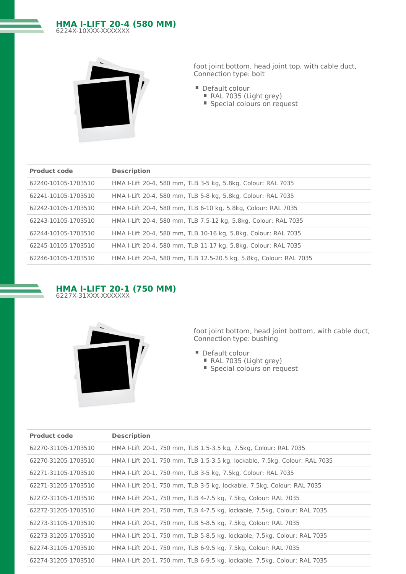# **HMA I-LIFT 20-4 (580 MM)** 6224X-10XXX-XXXXXXX



foot joint bottom, head joint top, with cable duct, Connection type: bolt

- Default colour
	- RAL 7035 (Light grey)
	- Special colours on request

| <b>Product code</b> | <b>Description</b>                                                 |
|---------------------|--------------------------------------------------------------------|
| 62240-10105-1703510 | HMA I-Lift 20-4, 580 mm, TLB 3-5 kg, 5.8kg, Colour: RAL 7035       |
| 62241-10105-1703510 | HMA I-Lift 20-4, 580 mm, TLB 5-8 kg, 5.8kg, Colour: RAL 7035       |
| 62242-10105-1703510 | HMA I-Lift 20-4, 580 mm, TLB 6-10 kg, 5.8kg, Colour: RAL 7035      |
| 62243-10105-1703510 | HMA I-Lift 20-4, 580 mm, TLB 7.5-12 kg, 5.8kg, Colour: RAL 7035    |
| 62244-10105-1703510 | HMA I-Lift 20-4, 580 mm, TLB 10-16 kg, 5.8kg, Colour: RAL 7035     |
| 62245-10105-1703510 | HMA I-Lift 20-4, 580 mm, TLB 11-17 kg, 5.8kg, Colour: RAL 7035     |
| 62246-10105-1703510 | HMA I-Lift 20-4, 580 mm, TLB 12.5-20.5 kg, 5.8kg, Colour: RAL 7035 |





- Default colour
	- RAL 7035 (Light grey)
	- Special colours on request

| <b>Product code</b> | <b>Description</b>                                                         |
|---------------------|----------------------------------------------------------------------------|
| 62270-31105-1703510 | HMA I-Lift 20-1, 750 mm, TLB 1.5-3.5 kg, 7.5kg, Colour: RAL 7035           |
| 62270-31205-1703510 | HMA I-Lift 20-1, 750 mm, TLB 1.5-3.5 kg, lockable, 7.5kg, Colour: RAL 7035 |
| 62271-31105-1703510 | HMA I-Lift 20-1, 750 mm, TLB 3-5 kg, 7.5kg, Colour: RAL 7035               |
| 62271-31205-1703510 | HMA I-Lift 20-1, 750 mm, TLB 3-5 kg, lockable, 7.5kg, Colour: RAL 7035     |
| 62272-31105-1703510 | HMA I-Lift 20-1, 750 mm, TLB 4-7.5 kg, 7.5kg, Colour: RAL 7035             |
| 62272-31205-1703510 | HMA I-Lift 20-1, 750 mm, TLB 4-7.5 kg, lockable, 7.5kg, Colour: RAL 7035   |
| 62273-31105-1703510 | HMA I-Lift 20-1, 750 mm, TLB 5-8.5 kg, 7.5kg, Colour: RAL 7035             |
| 62273-31205-1703510 | HMA I-Lift 20-1, 750 mm, TLB 5-8.5 kg, lockable, 7.5kg, Colour: RAL 7035   |
| 62274-31105-1703510 | HMA I-Lift 20-1, 750 mm, TLB 6-9.5 kg, 7.5kg, Colour: RAL 7035             |
| 62274-31205-1703510 | HMA I-Lift 20-1, 750 mm, TLB 6-9.5 kg, lockable, 7.5kg, Colour: RAL 7035   |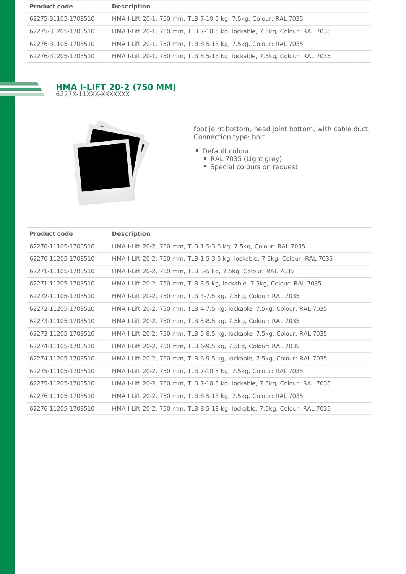| <b>Product code</b> | <b>Description</b>                                                        |
|---------------------|---------------------------------------------------------------------------|
| 62275-31105-1703510 | HMA I-Lift 20-1, 750 mm, TLB 7-10.5 kg, 7.5kg, Colour: RAL 7035           |
| 62275-31205-1703510 | HMA I-Lift 20-1, 750 mm, TLB 7-10.5 kg, lockable, 7.5kg, Colour: RAL 7035 |
| 62276-31105-1703510 | HMA I-Lift 20-1, 750 mm, TLB 8.5-13 kg, 7.5kg, Colour: RAL 7035           |
| 62276-31205-1703510 | HMA I-Lift 20-1, 750 mm, TLB 8.5-13 kg, lockable, 7.5kg, Colour: RAL 7035 |

# **HMA I-LIFT 20-2 (750 MM)** 6227X-11XXX-XXXXXXX



- Default colour
	- RAL 7035 (Light grey)
	- Special colours on request

| <b>Product code</b> | <b>Description</b>                                                         |
|---------------------|----------------------------------------------------------------------------|
| 62270-11105-1703510 | HMA I-Lift 20-2, 750 mm, TLB 1.5-3.5 kg, 7.5kg, Colour: RAL 7035           |
| 62270-11205-1703510 | HMA I-Lift 20-2, 750 mm, TLB 1.5-3.5 kg, lockable, 7.5kg, Colour: RAL 7035 |
| 62271-11105-1703510 | HMA I-Lift 20-2, 750 mm, TLB 3-5 kg, 7.5kg, Colour: RAL 7035               |
| 62271-11205-1703510 | HMA I-Lift 20-2, 750 mm, TLB 3-5 kg, lockable, 7.5kg, Colour: RAL 7035     |
| 62272-11105-1703510 | HMA I-Lift 20-2, 750 mm, TLB 4-7.5 kg, 7.5kg, Colour: RAL 7035             |
| 62272-11205-1703510 | HMA I-Lift 20-2, 750 mm, TLB 4-7.5 kg, lockable, 7.5kg, Colour: RAL 7035   |
| 62273-11105-1703510 | HMA I-Lift 20-2, 750 mm, TLB 5-8.5 kg, 7.5kg, Colour: RAL 7035             |
| 62273-11205-1703510 | HMA I-Lift 20-2, 750 mm, TLB 5-8.5 kg, lockable, 7.5kg, Colour: RAL 7035   |
| 62274-11105-1703510 | HMA I-Lift 20-2, 750 mm, TLB 6-9.5 kg, 7.5kg, Colour: RAL 7035             |
| 62274-11205-1703510 | HMA I-Lift 20-2, 750 mm, TLB 6-9.5 kg, lockable, 7.5kg, Colour: RAL 7035   |
| 62275-11105-1703510 | HMA I-Lift 20-2, 750 mm, TLB 7-10.5 kg, 7.5kg, Colour: RAL 7035            |
| 62275-11205-1703510 | HMA I-Lift 20-2, 750 mm, TLB 7-10.5 kg, lockable, 7.5kg, Colour: RAL 7035  |
| 62276-11105-1703510 | HMA I-Lift 20-2, 750 mm, TLB 8.5-13 kg, 7.5kg, Colour: RAL 7035            |
| 62276-11205-1703510 | HMA I-Lift 20-2, 750 mm, TLB 8.5-13 kg, lockable, 7.5kg, Colour: RAL 7035  |